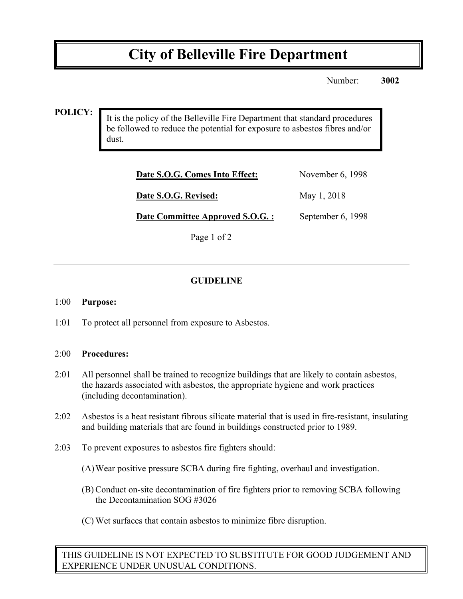# **City of Belleville Fire Department**

Number: **3002**

#### **POLICY:**

It is the policy of the Belleville Fire Department that standard procedures be followed to reduce the potential for exposure to asbestos fibres and/or dust.

| Date S.O.G. Comes Into Effect:   | November 6, 1998  |
|----------------------------------|-------------------|
| Date S.O.G. Revised:             | May 1, 2018       |
| Date Committee Approved S.O.G. : | September 6, 1998 |

Page 1 of 2

## **GUIDELINE**

#### 1:00 **Purpose:**

1:01 To protect all personnel from exposure to Asbestos.

#### 2:00 **Procedures:**

- 2:01 All personnel shall be trained to recognize buildings that are likely to contain asbestos, the hazards associated with asbestos, the appropriate hygiene and work practices (including decontamination).
- 2:02 Asbestos is a heat resistant fibrous silicate material that is used in fire-resistant, insulating and building materials that are found in buildings constructed prior to 1989.
- 2:03 To prevent exposures to asbestos fire fighters should:
	- (A)Wear positive pressure SCBA during fire fighting, overhaul and investigation.
	- (B) Conduct on-site decontamination of fire fighters prior to removing SCBA following the Decontamination SOG #3026
	- (C) Wet surfaces that contain asbestos to minimize fibre disruption.

THIS GUIDELINE IS NOT EXPECTED TO SUBSTITUTE FOR GOOD JUDGEMENT AND EXPERIENCE UNDER UNUSUAL CONDITIONS.